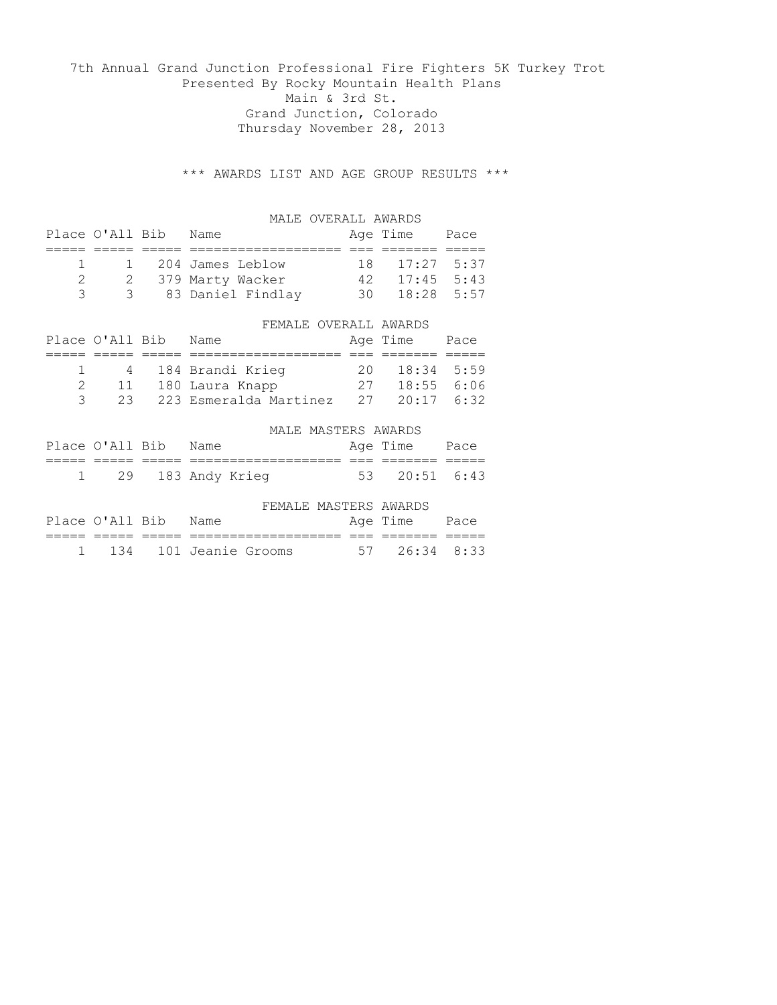7th Annual Grand Junction Professional Fire Fighters 5K Turkey Trot Presented By Rocky Mountain Health Plans Main & 3rd St. Grand Junction, Colorado Thursday November 28, 2013

\*\*\* AWARDS LIST AND AGE GROUP RESULTS \*\*\*

|   |                 | MALE OVERALL AWARDS    |    |              |      |
|---|-----------------|------------------------|----|--------------|------|
|   | Place O'All Bib | Name                   |    | Age Time     | Pace |
|   |                 |                        |    |              |      |
| 1 |                 | 204 James Leblow       | 18 | 17:27        | 5:37 |
| 2 | 2               | 379 Marty Wacker       | 42 | $17:45$ 5:43 |      |
| 3 | 3               | 83 Daniel Findlay      | 30 | $18:28$ 5:57 |      |
|   |                 |                        |    |              |      |
|   |                 | FEMALE OVERALL AWARDS  |    |              |      |
|   | Place O'All Bib | Name                   |    | Age Time     | Pace |
|   |                 |                        |    |              |      |
|   | 4               | 184 Brandi Krieg       | 20 | 18:34        | 5:59 |
| 2 | 11              | 180 Laura Knapp        | 27 | 18:55        | 6:06 |
| 3 | 23              | 223 Esmeralda Martinez | 27 | 20:17        | 6:32 |

|                      |  | MALE MASTERS AWARDS |                             |  |
|----------------------|--|---------------------|-----------------------------|--|
| Place O'All Bib Name |  |                     | Age Time Pace               |  |
|                      |  |                     |                             |  |
| 1 29 183 Andy Krieg  |  |                     | $53 \quad 20:51 \quad 6:43$ |  |

|  |                      |                         | FEMALE MASTERS AWARDS |               |  |
|--|----------------------|-------------------------|-----------------------|---------------|--|
|  | Place O'All Bib Name |                         |                       | Age Time Pace |  |
|  |                      |                         |                       |               |  |
|  |                      | 1 134 101 Jeanie Grooms |                       | 57 26:34 8:33 |  |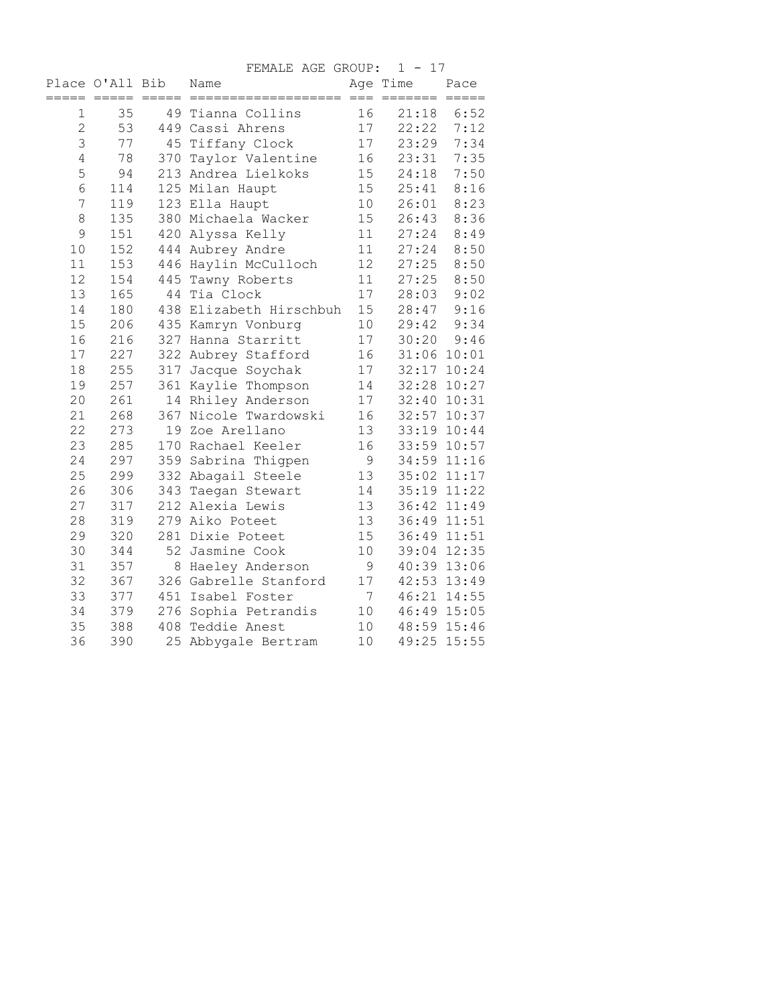|                |                 |         | FEMALE AGE GROUP:       |      | $1 - 17$                            |                  |
|----------------|-----------------|---------|-------------------------|------|-------------------------------------|------------------|
|                | Place O'All Bib | $=====$ | Name<br>============    | $==$ | Age Time<br>$=$ $=$ $=$ $=$ $=$ $=$ | Pace<br>$======$ |
| 1              | 35              |         | 49 Tianna Collins       | 16   | 21:18                               | 6:52             |
| $\overline{c}$ | 53              |         | 449 Cassi Ahrens        | 17   | 22:22                               | 7:12             |
| 3              | 77              |         | 45 Tiffany Clock        | 17   | 23:29                               | 7:34             |
| 4              | 78              | 370     | Taylor Valentine        | 16   | 23:31                               | 7:35             |
| 5              | 94              |         | 213 Andrea Lielkoks     | 15   | 24:18                               | 7:50             |
| 6              | 114             |         | 125 Milan Haupt         | 15   | 25:41                               | 8:16             |
| 7              | 119             |         | 123 Ella Haupt          | 10   | 26:01                               | 8:23             |
| 8              | 135             |         | 380 Michaela Wacker     | 15   | 26:43                               | 8:36             |
| 9              | 151             |         | 420 Alyssa Kelly        | 11   | 27:24                               | 8:49             |
| 10             | 152             |         | 444 Aubrey Andre        | 11   | 27:24                               | 8:50             |
| 11             | 153             |         | 446 Haylin McCulloch    | 12   | 27:25                               | 8:50             |
| 12             | 154             |         | 445 Tawny Roberts       | 11   | 27:25                               | 8:50             |
| 13             | 165             | 44      | Tia Clock               | 17   | 28:03                               | 9:02             |
| 14             | 180             |         | 438 Elizabeth Hirschbuh | 15   | 28:47                               | 9:16             |
| 15             | 206             |         | 435 Kamryn Vonburg      | 10   | 29:42                               | 9:34             |
| 16             | 216             |         | 327 Hanna Starritt      | 17   | 30:20                               | 9:46             |
| 17             | 227             |         | 322 Aubrey Stafford     | 16   | 31:06 10:01                         |                  |
| 18             | 255             |         | 317 Jacque Soychak      | 17   | 32:17 10:24                         |                  |
| 19             | 257             |         | 361 Kaylie Thompson     | 14   | 32:28 10:27                         |                  |
| 20             | 261             |         | 14 Rhiley Anderson      | 17   | 32:40 10:31                         |                  |
| 21             | 268             |         | 367 Nicole Twardowski   | 16   |                                     | 32:57 10:37      |
| 22             | 273             |         | 19 Zoe Arellano         | 13   | 33:19 10:44                         |                  |
| 23             | 285             |         | 170 Rachael Keeler      | 16   |                                     | 33:59 10:57      |
| 24             | 297             |         | 359 Sabrina Thigpen     | 9    |                                     | 34:59 11:16      |
| 25             | 299             |         | 332 Abagail Steele      | 13   |                                     | 35:02 11:17      |
| 26             | 306             |         | 343 Taegan Stewart      | 14   | 35:19 11:22                         |                  |
| 27             | 317             |         | 212 Alexia Lewis        | 13   |                                     | 36:42 11:49      |
| 28             | 319             |         | 279 Aiko Poteet         | 13   | 36:49 11:51                         |                  |
| 29             | 320             |         | 281 Dixie Poteet        | 15   | 36:49 11:51                         |                  |
| 30             | 344             |         | 52 Jasmine Cook         | 10   | 39:04                               | 12:35            |
| 31             | 357             | 8       | Haeley Anderson         | 9    |                                     | 40:39 13:06      |
| 32             | 367             |         | 326 Gabrelle Stanford   | 17   |                                     | 42:53 13:49      |
| 33             | 377             |         | 451 Isabel Foster       | 7    |                                     | 46:21 14:55      |
| 34             | 379             |         | 276 Sophia Petrandis    | 10   |                                     | 46:49 15:05      |
| 35             | 388             |         | 408 Teddie Anest        | 10   |                                     | 48:59 15:46      |
| 36             | 390             | 25      | Abbygale Bertram        | 10   | 49:25                               | 15:55            |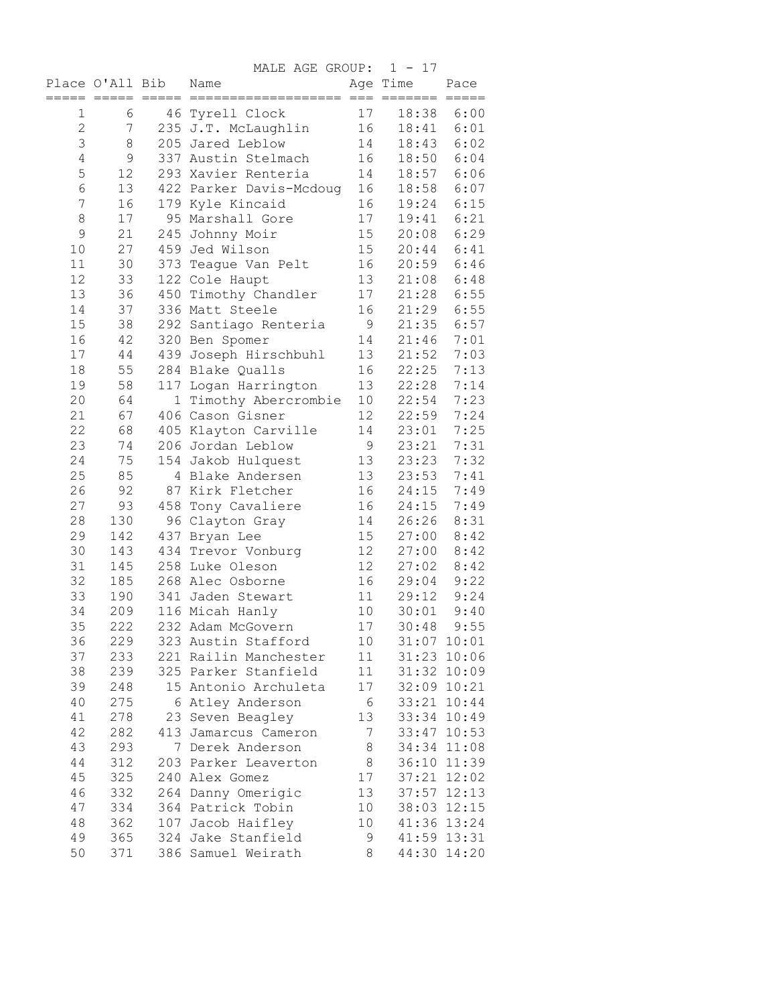|                |                 |         | MALE AGE GROUP:         |                 | $1 - 17$    |             |
|----------------|-----------------|---------|-------------------------|-----------------|-------------|-------------|
|                | Place O'All Bib |         | Name                    |                 | Age Time    | Pace        |
|                |                 | $=====$ |                         | $=$             |             |             |
| 1              | 6               |         | 46 Tyrell Clock         | 17              | 18:38       | 6:00        |
| $\mathbf{2}$   | 7               |         | 235 J.T. McLaughlin     | 16              | 18:41       | 6:01        |
| 3              | 8               |         | 205 Jared Leblow        | 14              | 18:43       | 6:02        |
| $\overline{4}$ | $\mathsf 9$     |         | 337 Austin Stelmach     | 16              | 18:50       | 6:04        |
| 5              | 12              |         | 293 Xavier Renteria     | 14              | 18:57       | 6:06        |
| 6              | 13              |         | 422 Parker Davis-Mcdoug | 16              | 18:58       | 6:07        |
| 7              | 16              |         | 179 Kyle Kincaid        | 16              | 19:24       | 6:15        |
| 8              | 17              |         | 95 Marshall Gore        | 17              | 19:41       | 6:21        |
| 9              | 21              |         | 245 Johnny Moir         | 15              | 20:08       | 6:29        |
| 10             | 27              |         | 459 Jed Wilson          | 15              | 20:44       | 6:41        |
| 11             | 30              |         | 373 Teague Van Pelt     | 16              | 20:59       | 6:46        |
| 12             | 33              |         | 122 Cole Haupt          | 13              | 21:08       | 6:48        |
| 13             | 36              |         | 450 Timothy Chandler    | 17              | 21:28       | 6:55        |
| 14             | 37              |         | 336 Matt Steele         | 16              | 21:29       | 6:55        |
| 15             | 38              |         | 292 Santiago Renteria   | 9               | 21:35       | 6:57        |
| 16             | 42              |         | 320 Ben Spomer          | 14              | 21:46       | 7:01        |
| 17             | 44              |         | 439 Joseph Hirschbuhl   | 13              | 21:52       | 7:03        |
| 18             | 55              |         | 284 Blake Qualls        | 16              | 22:25       | 7:13        |
| 19             | 58              | 117     | Logan Harrington        | 13              | 22:28       | 7:14        |
| 20             | 64              | 1       | Timothy Abercrombie     | 10              | 22:54       | 7:23        |
| 21             | 67              |         | 406 Cason Gisner        | 12 <sup>°</sup> | 22:59       | 7:24        |
| 22             | 68              |         | 405 Klayton Carville    | 14              | 23:01       | 7:25        |
| 23             | 74              |         | 206 Jordan Leblow       | 9               | 23:21       | 7:31        |
| 24             | 75              |         | 154 Jakob Hulquest      | 13              | 23:23       | 7:32        |
| 25             | 85              | 4       | Blake Andersen          | 13              | 23:53       | 7:41        |
| 26             | 92              |         | 87 Kirk Fletcher        | 16              | 24:15       | 7:49        |
| 27             | 93              |         | 458 Tony Cavaliere      | 16              | 24:15       | 7:49        |
| 28             | 130             |         | 96 Clayton Gray         | 14              | 26:26       | 8:31        |
| 29             | 142             |         | 437 Bryan Lee           | 15              | 27:00       | 8:42        |
| 30             | 143             |         | 434 Trevor Vonburg      | 12              | 27:00       | 8:42        |
| 31             | 145             |         | 258 Luke Oleson         | 12              | 27:02       | 8:42        |
| 32             | 185             |         | 268 Alec Osborne        | 16              | 29:04       | 9:22        |
| 33             | 190             |         | 341 Jaden Stewart       | 11              | 29:12       | 9:24        |
| 34             | 209             |         | 116 Micah Hanly         | 10              | 30:01       | 9:40        |
| 35             | 222             |         | 232 Adam McGovern       | $17\,$          | 30:48       | 9:55        |
| 36             | 229             |         | 323 Austin Stafford     | 10              | 31:07 10:01 |             |
| 37             | 233             |         | 221 Railin Manchester   | 11              |             | 31:23 10:06 |
| 38             | 239             |         | 325 Parker Stanfield    | 11              |             | 31:32 10:09 |
| 39             | 248             |         | 15 Antonio Archuleta    | 17              | 32:09 10:21 |             |
| 40             | 275             |         | 6 Atley Anderson        | 6               | 33:21 10:44 |             |
| 41             | 278             |         | 23 Seven Beagley        | 13              | 33:34 10:49 |             |
| 42             | 282             |         | 413 Jamarcus Cameron    | 7               | 33:47 10:53 |             |
| 43             | 293             | 7       | Derek Anderson          | 8               | 34:34 11:08 |             |
| 44             | 312             |         | 203 Parker Leaverton    | $\,8\,$         | 36:10 11:39 |             |
| 45             | 325             |         | 240 Alex Gomez          | 17              | 37:21       | 12:02       |
| 46             | 332             |         | 264 Danny Omerigic      | 13              | 37:57 12:13 |             |
| 47             | 334             |         | 364 Patrick Tobin       | 10              | 38:03 12:15 |             |
| 48             | 362             |         | 107 Jacob Haifley       | 10              | 41:36 13:24 |             |
| 49             | 365             |         | 324 Jake Stanfield      | 9               | 41:59 13:31 |             |
| 50             | 371             |         | 386 Samuel Weirath      | 8               | 44:30 14:20 |             |
|                |                 |         |                         |                 |             |             |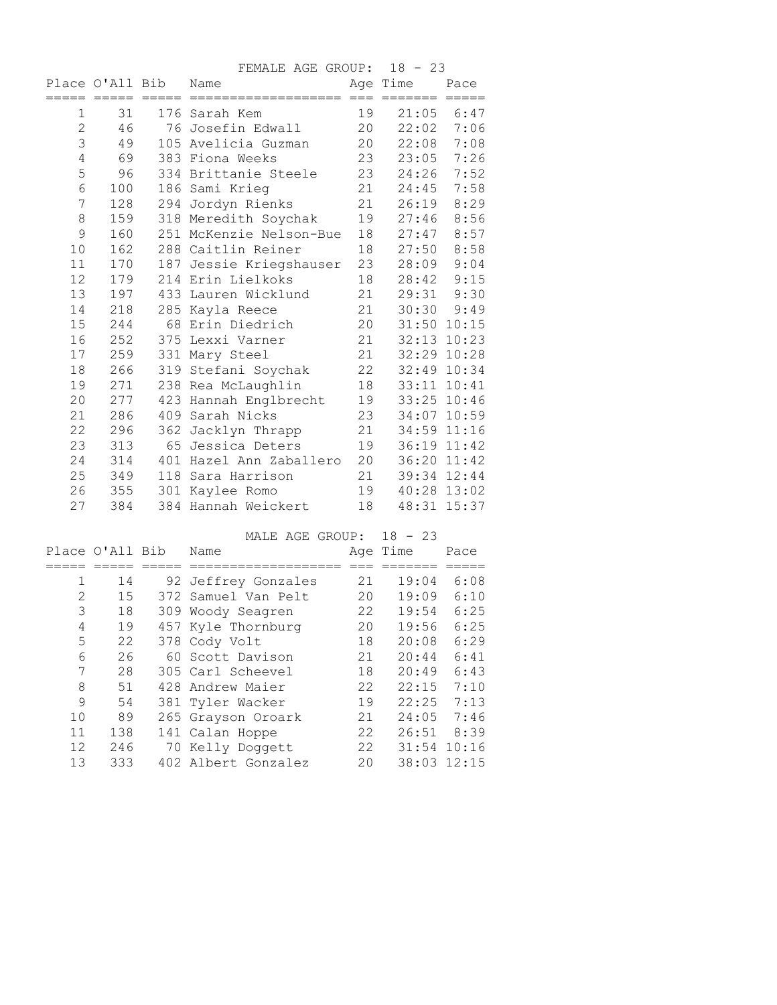|                |                 |     | FEMALE AGE GROUP:       |    | $18 - 23$   |                |
|----------------|-----------------|-----|-------------------------|----|-------------|----------------|
|                | Place O'All Bib |     | Name                    |    | Age Time    | Pace           |
| 1              | 31              |     | 176 Sarah Kem           | 19 | 21:05       | 6:47           |
| 2              | 46              |     | 76 Josefin Edwall       | 20 | 22:02       | 7:06           |
| 3              | 49              |     | 105 Avelicia Guzman     | 20 | 22:08       | 7:08           |
| $\overline{4}$ | 69              |     | 383 Fiona Weeks         | 23 | 23:05       | 7:26           |
| 5              | 96              |     | 334 Brittanie Steele    | 23 | 24:26       | 7:52           |
| 6              | 100             |     | 186 Sami Krieg          | 21 | 24:45       | 7:58           |
| 7              | 128             |     | 294 Jordyn Rienks       | 21 | 26:19       | 8:29           |
| 8              | 159             |     | 318 Meredith Soychak    | 19 | 27:46       | 8:56           |
| 9              | 160             |     | 251 McKenzie Nelson-Bue | 18 | 27:47       | 8:57           |
| 10             | 162             |     | 288 Caitlin Reiner      | 18 | 27:50       | 8:58           |
| 11             | 170             |     | 187 Jessie Kriegshauser | 23 | 28:09       | 9:04           |
| 12             | 179             |     | 214 Erin Lielkoks       | 18 | 28:42       | 9:15           |
| 13             | 197             |     | 433 Lauren Wicklund     | 21 | 29:31       | 9:30           |
| 14             | 218             |     | 285 Kayla Reece         | 21 |             | $30:30$ $9:49$ |
| 15             | 244             |     | 68 Erin Diedrich        | 20 |             | 31:50 10:15    |
| 16             | 252             |     | 375 Lexxi Varner        | 21 |             | 32:13 10:23    |
| 17             | 259             |     | 331 Mary Steel          | 21 |             | 32:29 10:28    |
| 18             | 266             |     | 319 Stefani Soychak     | 22 |             | 32:49 10:34    |
| 19             | 271             |     | 238 Rea McLaughlin      | 18 |             | 33:11 10:41    |
| 20             | 277             |     | 423 Hannah Englbrecht   | 19 | 33:25 10:46 |                |
| 21             | 286             | 409 | Sarah Nicks             | 23 | 34:07       | 10:59          |
| 22             | 296             |     | 362 Jacklyn Thrapp      | 21 |             | 34:59 11:16    |
| 23             | 313             |     | 65 Jessica Deters       | 19 |             | 36:19 11:42    |
| 24             | 314             |     | 401 Hazel Ann Zaballero | 20 | 36:20 11:42 |                |
| 25             | 349             |     | 118 Sara Harrison       | 21 |             | 39:34 12:44    |
| 26             | 355             |     | 301 Kaylee Romo         | 19 |             | 40:28 13:02    |
| 27             | 384             |     | 384 Hannah Weickert     | 18 |             | 48:31 15:37    |

MALE AGE GROUP: 18 - 23

|    | Place O'All Bib |     | Name                |    | Age Time | Pace  |
|----|-----------------|-----|---------------------|----|----------|-------|
|    |                 |     |                     |    |          |       |
| 1  | 14              |     | 92 Jeffrey Gonzales | 21 | 19:04    | 6:08  |
| 2  | 15              |     | 372 Samuel Van Pelt | 20 | 19:09    | 6:10  |
| 3  | 18              | 309 | Woody Seagren       | 22 | 19:54    | 6:25  |
| 4  | 19              |     | 457 Kyle Thornburg  | 20 | 19:56    | 6:25  |
| 5  | 22              |     | 378 Cody Volt       | 18 | 20:08    | 6:29  |
| 6  | 26              |     | 60 Scott Davison    | 21 | 20:44    | 6:41  |
| 7  | 28              |     | 305 Carl Scheevel   | 18 | 20:49    | 6:43  |
| 8  | 51              |     | 428 Andrew Maier    | 22 | 22:15    | 7:10  |
| 9  | 54              |     | 381 Tyler Wacker    | 19 | 22:25    | 7:13  |
| 10 | 89              |     | 265 Grayson Oroark  | 21 | 24:05    | 7:46  |
| 11 | 138             |     | 141 Calan Hoppe     | 22 | 26:51    | 8:39  |
| 12 | 246             |     | 70 Kelly Doggett    | 22 | 31:54    | 10:16 |
| 13 | 333             |     | 402 Albert Gonzalez | 20 | 38:03    | 12:15 |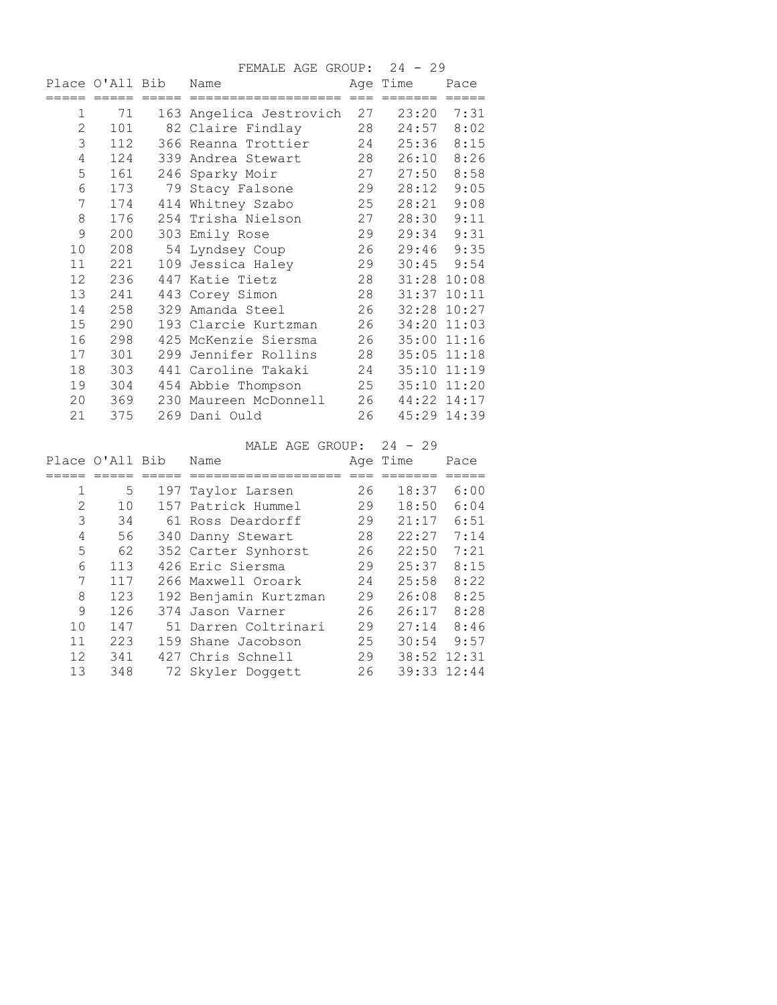|              |                 |     | FEMALE AGE GROUP:       |    | 24 - 29  |                |
|--------------|-----------------|-----|-------------------------|----|----------|----------------|
|              | Place O'All Bib |     | Name                    |    | Age Time | Pace           |
|              |                 |     | ==================      |    |          |                |
| 1            | 71              |     | 163 Angelica Jestrovich | 27 | 23:20    | 7:31           |
| $\mathbf{2}$ | 101             |     | 82 Claire Findlay       | 28 | 24:57    | 8:02           |
| 3            | 112             |     | 366 Reanna Trottier     | 24 | 25:36    | 8:15           |
| 4            | 124             | 339 | Andrea Stewart          | 28 | 26:10    | 8:26           |
| 5            | 161             |     | 246 Sparky Moir         | 27 | 27:50    | 8:58           |
| 6            | 173             |     | 79 Stacy Falsone        | 29 | 28:12    | 9:05           |
| 7            | 174             |     | 414 Whitney Szabo       | 25 | 28:21    | 9:08           |
| 8            | 176             | 254 | Trisha Nielson          | 27 | 28:30    | 9:11           |
| 9            | 200             |     | 303 Emily Rose          | 29 | 29:34    | 9:31           |
| 10           | 208             |     | 54 Lyndsey Coup         | 26 | 29:46    | 9:35           |
| 11           | 221             |     | 109 Jessica Haley       | 29 |          | $30:45$ $9:54$ |
| 12           | 236             | 447 | Katie Tietz             | 28 |          | 31:28 10:08    |
| 13           | 241             |     | 443 Corey Simon         | 28 | 31:37    | 10:11          |
| 14           | 258             |     | 329 Amanda Steel        | 26 |          | 32:28 10:27    |
| 15           | 290             |     | 193 Clarcie Kurtzman    | 26 | 34:20    | 11:03          |
| 16           | 298             |     | 425 McKenzie Siersma    | 26 |          | 35:00 11:16    |
| 17           | 301             | 299 | Jennifer Rollins        | 28 |          | 35:05 11:18    |
| 18           | 303             |     | 441 Caroline Takaki     | 24 |          | 35:10 11:19    |
| 19           | 304             |     | 454 Abbie Thompson      | 25 |          | 35:10 11:20    |
| 20           | 369             |     | 230 Maureen McDonnell   | 26 |          | 44:22 14:17    |
| 21           | 375             |     | 269 Dani Ould           | 26 |          | 45:29 14:39    |

MALE AGE GROUP: 24 - 29 Place O'All Bib Name Age Time Pace ===== ===== ===== =================== === ======= ===== 1 5 197 Taylor Larsen 26 18:37 6:00 2 10 157 Patrick Hummel 29 18:50 6:04 3 34 61 Ross Deardorff 29 21:17 6:51 4 56 340 Danny Stewart 28 22:27 7:14 5 62 352 Carter Synhorst 26 22:50 7:21 6 113 426 Eric Siersma 29 25:37 8:15 7 117 266 Maxwell Oroark 24 25:58 8:22 8 123 192 Benjamin Kurtzman 29 26:08 8:25 9 126 374 Jason Varner 26 26:17 8:28 10 147 51 Darren Coltrinari 29 27:14 8:46 11 223 159 Shane Jacobson 25 30:54 9:57 12 341 427 Chris Schnell 29 38:52 12:31 13 348 72 Skyler Doggett 26 39:33 12:44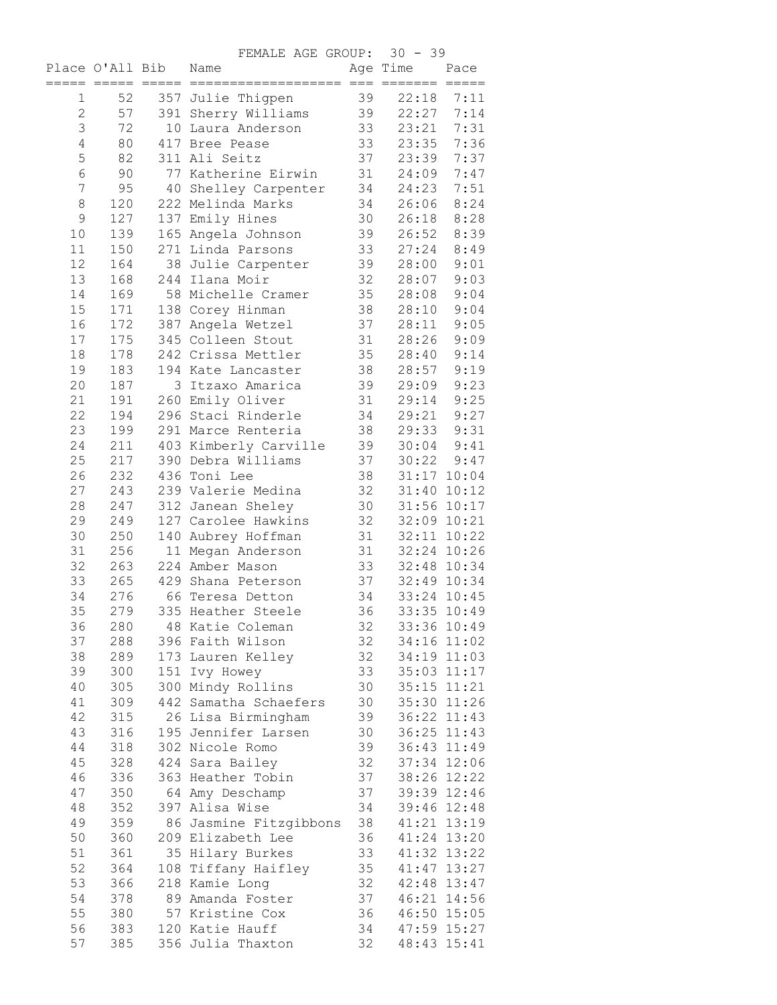FEMALE AGE GROUP: 30 - 39

|                | $=====$ | Place O'All Bib<br>$=====$ | r onvou riou divour.<br>Name<br>=================== === ======= ===== |          | Age Time    | Pace                       |
|----------------|---------|----------------------------|-----------------------------------------------------------------------|----------|-------------|----------------------------|
| 1              | 52      |                            | 357 Julie Thigpen                                                     | 39       | 22:18       | 7:11                       |
| $\overline{2}$ | 57      |                            | 391 Sherry Williams                                                   | 39       | 22:27       | 7:14                       |
| 3              | 72      |                            | 10 Laura Anderson                                                     | 33       | 23:21       | 7:31                       |
| $\overline{4}$ | 80      |                            | 417 Bree Pease                                                        | 33       | 23:35       | 7:36                       |
| 5              | 82      |                            | 311 Ali Seitz                                                         | 37       | 23:39       | 7:37                       |
| 6              | 90      |                            | 77 Katherine Eirwin                                                   | 31       | 24:09       | 7:47                       |
| 7              | 95      |                            | 40 Shelley Carpenter                                                  | 34       | 24:23       | 7:51                       |
| 8              | 120     |                            | 222 Melinda Marks                                                     | 34       | 26:06       | 8:24                       |
| $\mathcal{G}$  | 127     |                            | 137 Emily Hines                                                       | 30       | 26:18       | 8:28                       |
| 10             | 139     |                            | 165 Angela Johnson                                                    | 39       | 26:52       | 8:39                       |
| 11             | 150     |                            | 271 Linda Parsons                                                     | 33       | 27:24       | 8:49                       |
| 12             | 164     |                            | 38 Julie Carpenter                                                    | 39       | 28:00       | 9:01                       |
| 13             | 168     |                            | 244 Ilana Moir                                                        | 32       | 28:07       | 9:03                       |
| 14             | 169     |                            | 58 Michelle Cramer                                                    | 35       | 28:08       | 9:04                       |
| 15             | 171     |                            | 138 Corey Hinman                                                      | 38       | 28:10       | 9:04                       |
| 16             | 172     |                            | 387 Angela Wetzel                                                     | 37       | 28:11       | 9:05                       |
| 17             | 175     |                            | 345 Colleen Stout                                                     | 31       | 28:26       | 9:09                       |
| 18             | 178     |                            | 242 Crissa Mettler                                                    | 35       | 28:40       | 9:14                       |
| 19             | 183     |                            | 194 Kate Lancaster                                                    | 38       | 28:57       | 9:19                       |
| 20             | 187     |                            | 3 Itzaxo Amarica                                                      | 39       | 29:09       | 9:23                       |
| 21             | 191     |                            | 260 Emily Oliver                                                      | 31       | 29:14       | 9:25                       |
| 22             | 194     |                            | 296 Staci Rinderle                                                    | 34       | 29:21       | 9:27                       |
| 23             | 199     |                            | 291 Marce Renteria                                                    | 38       | 29:33       | 9:31                       |
| 24             | 211     |                            | 403 Kimberly Carville                                                 | 39       | 30:04       | 9:41                       |
| 25             | 217     |                            | 390 Debra Williams                                                    | 37       | 30:22       | 9:47                       |
| 26             | 232     |                            | 436 Toni Lee                                                          | 38       |             | 31:17 10:04                |
| 27             | 243     |                            | 239 Valerie Medina                                                    | 32       |             | 31:40 10:12                |
| 28             | 247     |                            | 312 Janean Sheley                                                     | 30       |             | 31:56 10:17                |
| 29             | 249     |                            | 127 Carolee Hawkins                                                   | 32       |             | 32:09 10:21                |
| 30             | 250     |                            | 140 Aubrey Hoffman                                                    | 31       |             | 32:11 10:22                |
| 31             | 256     |                            | 11 Megan Anderson                                                     | 31       |             | 32:24 10:26                |
| 32             | 263     |                            | 224 Amber Mason                                                       | 33       |             | 32:48 10:34                |
| 33             | 265     |                            | 429 Shana Peterson                                                    | 37       |             | 32:49 10:34                |
| 34             | 276     |                            | 66 Teresa Detton                                                      | 34       |             | 33:24 10:45                |
| 35             | 279     |                            | 335 Heather Steele                                                    | 36       |             | 33:35 10:49                |
| 36             | 280     |                            | 48 Katie Coleman                                                      | 32       |             | 33:36 10:49                |
| 37             | 288     |                            | 396 Faith Wilson                                                      | 32       |             | 34:16 11:02                |
| 38             | 289     |                            | 173 Lauren Kelley                                                     | 32       |             | 34:19 11:03                |
| 39             | 300     |                            | 151 Ivy Howey                                                         | 33       |             | 35:03 11:17                |
| 40             | 305     |                            | 300 Mindy Rollins                                                     | 30       |             | 35:15 11:21                |
| 41             | 309     |                            | 442 Samatha Schaefers                                                 | 30       |             | 35:30 11:26                |
| 42             | 315     |                            | 26 Lisa Birmingham                                                    | 39       |             | 36:22 11:43                |
| 43             | 316     |                            | 195 Jennifer Larsen                                                   | 30       |             | 36:25 11:43                |
| 44             | 318     |                            | 302 Nicole Romo                                                       | 39       |             | 36:43 11:49                |
| 45             | 328     |                            | 424 Sara Bailey                                                       | 32       |             | 37:34 12:06                |
| 46             | 336     |                            | 363 Heather Tobin                                                     | 37       |             | 38:26 12:22                |
| 47             | 350     |                            | 64 Amy Deschamp                                                       | 37       |             | 39:39 12:46                |
| 48             | 352     |                            | 397 Alisa Wise                                                        | 34       |             | 39:46 12:48                |
| 49             | 359     |                            | 86 Jasmine Fitzgibbons                                                | 38       |             | 41:21 13:19                |
| 50             | 360     |                            | 209 Elizabeth Lee                                                     | 36       |             | 41:24 13:20                |
| 51             | 361     |                            | 35 Hilary Burkes                                                      | 33       |             | 41:32 13:22                |
| 52             | 364     |                            | 108 Tiffany Haifley                                                   | 35       |             | 41:47 13:27                |
| 53             | 366     |                            | 218 Kamie Long                                                        | 32       |             | 42:48 13:47                |
| 54             | 378     |                            | 89 Amanda Foster                                                      | 37<br>36 |             | 46:21 14:56                |
| 55             | 380     |                            | 57 Kristine Cox                                                       | 34       |             | 46:50 15:05<br>47:59 15:27 |
| 56             | 383     |                            | 120 Katie Hauff                                                       |          |             |                            |
| 57             | 385     |                            | 356 Julia Thaxton                                                     | 32       | 48:43 15:41 |                            |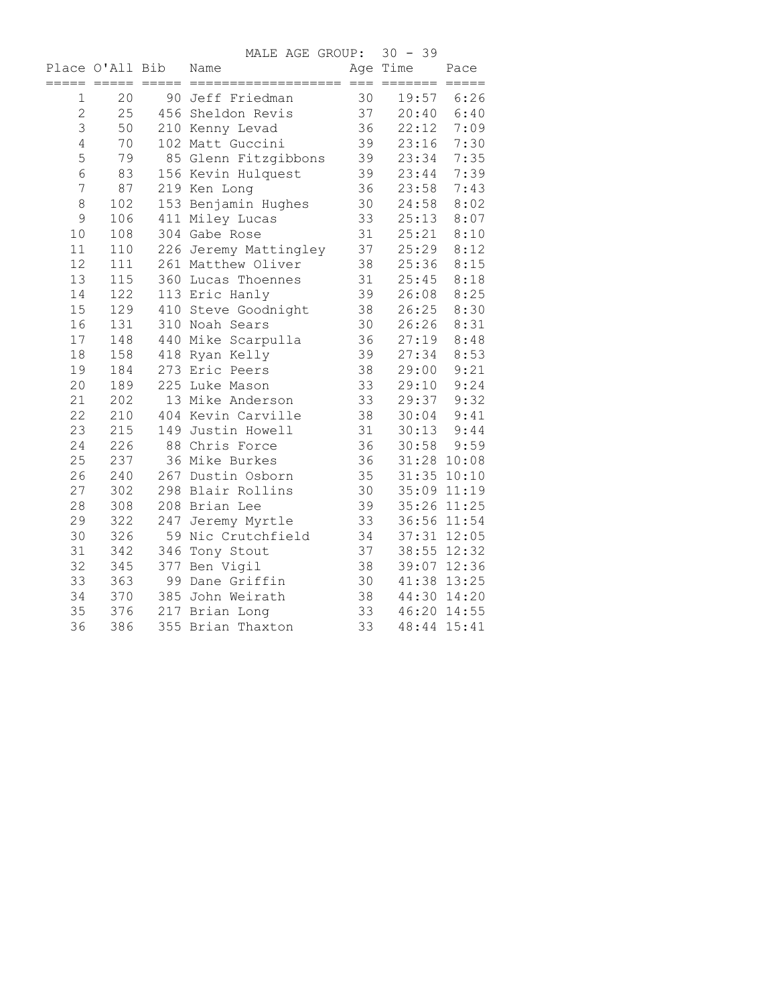MALE AGE GROUP: 30 - 39

|                | Place O'All Bib |                 | Name                  |    | Age Time                | Pace           |
|----------------|-----------------|-----------------|-----------------------|----|-------------------------|----------------|
| =====          | $=$ $=$ $=$ $=$ | $=$ $=$ $=$ $=$ | $=$ = = = = = = = $=$ |    | $=$ $=$ $=$ $=$ $=$ $=$ | $== == == ==$  |
| 1              | 20              |                 | 90 Jeff Friedman      | 30 | 19:57                   | 6:26           |
| $\overline{2}$ | 25              |                 | 456 Sheldon Revis     | 37 | 20:40                   | 6:40           |
| 3              | 50              |                 | 210 Kenny Levad       | 36 | 22:12                   | 7:09           |
| $\overline{4}$ | 70              |                 | 102 Matt Guccini      | 39 | 23:16                   | 7:30           |
| 5              | 79              |                 | 85 Glenn Fitzgibbons  | 39 | 23:34                   | 7:35           |
| 6              | 83              |                 | 156 Kevin Hulquest    | 39 | 23:44                   | 7:39           |
| 7              | 87              |                 | 219 Ken Long          | 36 | 23:58                   | 7:43           |
| 8              | 102             |                 | 153 Benjamin Hughes   | 30 | 24:58                   | 8:02           |
| 9              | 106             |                 | 411 Miley Lucas       | 33 | 25:13                   | 8:07           |
| 10             | 108             |                 | 304 Gabe Rose         | 31 | 25:21                   | 8:10           |
| 11             | 110             |                 | 226 Jeremy Mattingley | 37 | 25:29                   | 8:12           |
| 12             | 111             |                 | 261 Matthew Oliver    | 38 | 25:36                   | 8:15           |
| 13             | 115             |                 | 360 Lucas Thoennes    | 31 | 25:45                   | 8:18           |
| 14             | 122             |                 | 113 Eric Hanly        | 39 | 26:08                   | 8:25           |
| 15             | 129             |                 | 410 Steve Goodnight   | 38 | 26:25                   | 8:30           |
| 16             | 131             |                 | 310 Noah Sears        | 30 | 26:26                   | 8:31           |
| 17             | 148             |                 | 440 Mike Scarpulla    | 36 | 27:19                   | 8:48           |
| $1\,8$         | 158             |                 | 418 Ryan Kelly        | 39 | 27:34                   | 8:53           |
| 19             | 184             |                 | 273 Eric Peers        | 38 | 29:00                   | 9:21           |
| 20             | 189             |                 | 225 Luke Mason        | 33 | 29:10                   | 9:24           |
| 21             | 202             |                 | 13 Mike Anderson      | 33 | 29:37                   | 9:32           |
| 22             | 210             |                 | 404 Kevin Carville    | 38 | 30:04                   | 9:41           |
| 23             | 215             |                 | 149 Justin Howell     | 31 |                         | $30:13$ $9:44$ |
| 24             | 226             |                 | 88 Chris Force        | 36 | 30:58                   | 9:59           |
| 25             | 237             |                 | 36 Mike Burkes        | 36 |                         | 31:28 10:08    |
| 26             | 240             |                 | 267 Dustin Osborn     | 35 | 31:35 10:10             |                |
| 27             | 302             |                 | 298 Blair Rollins     | 30 | 35:09 11:19             |                |
| 28             | 308             |                 | 208 Brian Lee         | 39 | 35:26 11:25             |                |
| 29             | 322             |                 | 247 Jeremy Myrtle     | 33 |                         | 36:56 11:54    |
| 30             | 326             |                 | 59 Nic Crutchfield    | 34 |                         | 37:31 12:05    |
| 31             | 342             |                 | 346 Tony Stout        | 37 |                         | 38:55 12:32    |
| 32             | 345             |                 | 377 Ben Vigil         | 38 |                         | 39:07 12:36    |
| 33             | 363             |                 | 99 Dane Griffin       | 30 |                         | 41:38 13:25    |
| 34             | 370             |                 | 385 John Weirath      | 38 |                         | 44:30 14:20    |
| 35             | 376             |                 | 217 Brian Long        | 33 |                         | 46:20 14:55    |
| 36             | 386             |                 | 355 Brian Thaxton     | 33 | 48:44 15:41             |                |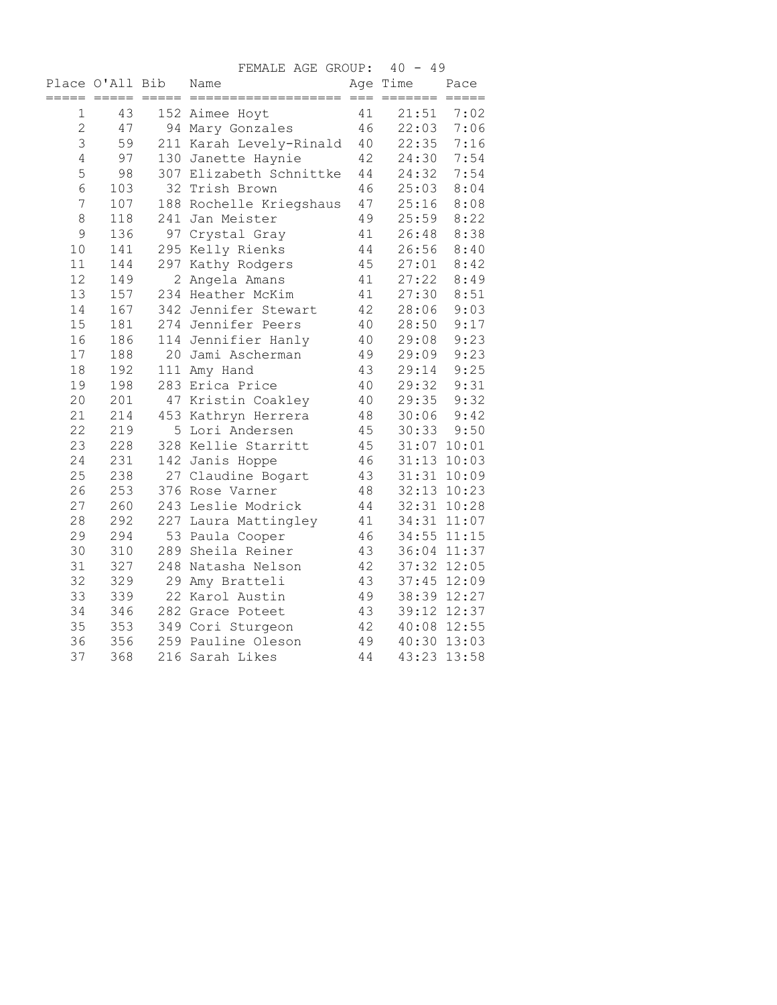|                |                                    |                     | FEMALE AGE GROUP:           |        | $40 - 49$              |                       |
|----------------|------------------------------------|---------------------|-----------------------------|--------|------------------------|-----------------------|
| =====          | Place O'All Bib<br>$=$ $=$ $=$ $=$ | $=$ $=$ $=$ $=$ $-$ | Name<br>=================== | $===$  | Age Time<br>$=$ ====== | Pace<br>$== == == ==$ |
| 1              | 43                                 |                     | 152 Aimee Hoyt              | 41     | 21:51                  | 7:02                  |
| $\overline{2}$ | 47                                 |                     | 94 Mary Gonzales            | 46     | 22:03                  | 7:06                  |
| 3              | 59                                 |                     | 211 Karah Levely-Rinald     | 40     | 22:35                  | 7:16                  |
| $\overline{4}$ | 97                                 |                     | 130 Janette Haynie          | 42     | 24:30                  | 7:54                  |
| 5              | 98                                 |                     | 307 Elizabeth Schnittke     | 44     | 24:32                  | 7:54                  |
| 6              | 103                                |                     | 32 Trish Brown              | 46     | 25:03                  | 8:04                  |
| 7              | 107                                |                     | 188 Rochelle Kriegshaus     | 47     | 25:16                  | 8:08                  |
| 8              | 118                                |                     | 241 Jan Meister             | 49     | 25:59                  | 8:22                  |
| 9              | 136                                |                     | 97 Crystal Gray             | 41     | 26:48                  | 8:38                  |
| 10             | 141                                |                     | 295 Kelly Rienks            | 44     | 26:56                  | 8:40                  |
| 11             | 144                                |                     | 297 Kathy Rodgers           | 45     | 27:01                  | 8:42                  |
| 12             | 149                                |                     | 2 Angela Amans              | 41     | 27:22                  | 8:49                  |
| 13             | 157                                |                     | 234 Heather McKim           | 41     | 27:30                  | 8:51                  |
| 14             | 167                                |                     | 342 Jennifer Stewart        | 42     | 28:06                  | 9:03                  |
| 15             | 181                                |                     | 274 Jennifer Peers          | 40     | 28:50                  | 9:17                  |
| 16             | 186                                |                     | 114 Jennifier Hanly         | 40     | 29:08                  | 9:23                  |
| 17             | 188                                |                     | 20 Jami Ascherman           | 49     | 29:09                  | 9:23                  |
| 18             | 192                                |                     | 111 Amy Hand                | 43     | 29:14                  | 9:25                  |
| 19             | 198                                |                     | 283 Erica Price             | 40     | 29:32                  | 9:31                  |
| 20             | 201                                |                     | 47 Kristin Coakley          | 40     | 29:35                  | 9:32                  |
| 21             | 214                                |                     | 453 Kathryn Herrera         | $4\,8$ | 30:06                  | 9:42                  |
| 22             | 219                                |                     | 5 Lori Andersen             | 45     | 30:33                  | 9:50                  |
| 23             | 228                                |                     | 328 Kellie Starritt         | 45     |                        | 31:07 10:01           |
| 24             | 231                                |                     | 142 Janis Hoppe             | 46     |                        | 31:13 10:03           |
| 25             | 238                                |                     | 27 Claudine Bogart          | 43     |                        | 31:31 10:09           |
| 26             | 253                                |                     | 376 Rose Varner             | 48     |                        | 32:13 10:23           |
| 27             | 260                                |                     | 243 Leslie Modrick          | 44     |                        | 32:31 10:28           |
| 28             | 292                                |                     | 227 Laura Mattingley        | 41     |                        | 34:31 11:07           |
| 29             | 294                                |                     | 53 Paula Cooper             | 46     |                        | 34:55 11:15           |
| 30             | 310                                |                     | 289 Sheila Reiner           | 43     |                        | 36:04 11:37           |
| 31             | 327                                |                     | 248 Natasha Nelson          | 42     |                        | 37:32 12:05           |
| 32             | 329                                |                     | 29 Amy Bratteli             | 43     |                        | 37:45 12:09           |
| 33             | 339                                |                     | 22 Karol Austin             | 49     | 38:39 12:27            |                       |
| 34             | 346                                |                     | 282 Grace Poteet            | 43     |                        | 39:12 12:37           |
| 35             | 353                                |                     | 349 Cori Sturgeon           | 42     |                        | 40:08 12:55           |
| 36             | 356                                |                     | 259 Pauline Oleson          | 49     |                        | 40:30 13:03           |
| 37             | 368                                |                     | 216 Sarah Likes             | 44     |                        | 43:23 13:58           |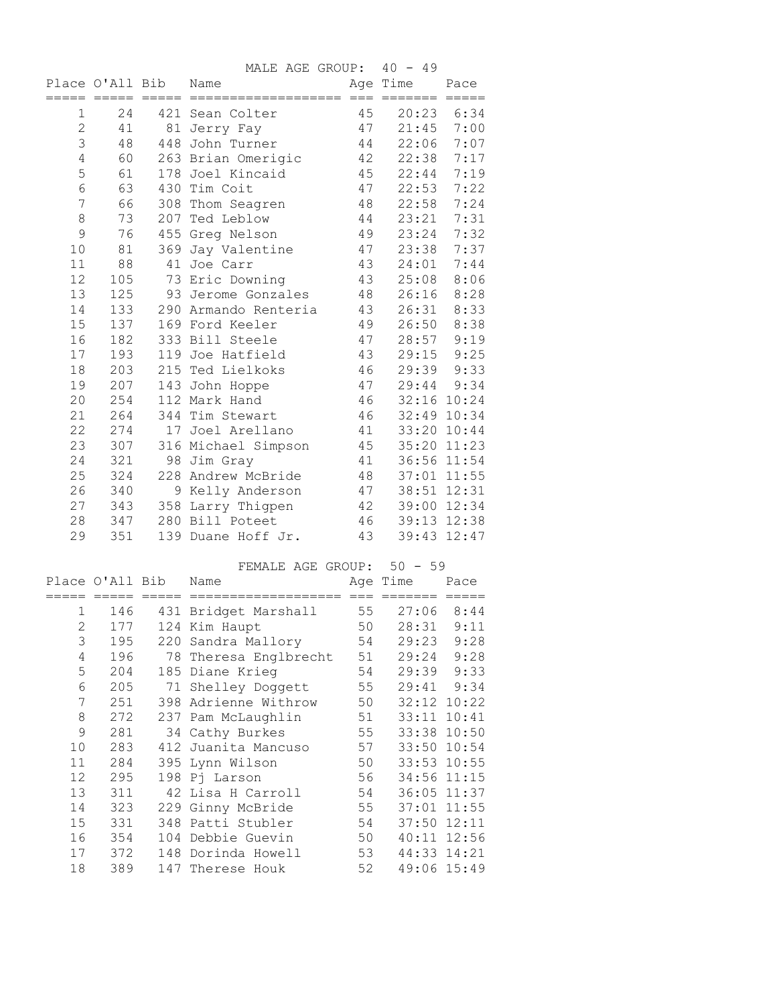|                |                 | MALE AGE GROUP: 40 - 49 |    |               |                |
|----------------|-----------------|-------------------------|----|---------------|----------------|
|                | Place O'All Bib | Name                    |    | Age Time      | Pace           |
|                |                 |                         |    |               |                |
| 1              | 24              | 421 Sean Colter         | 45 |               | $20:23$ $6:34$ |
| $\mathbf{2}$   | 41              | 81 Jerry Fay            |    | 47 21:45 7:00 |                |
| 3              | 48              | 448 John Turner         |    | 44 22:06      | 7:07           |
| $\sqrt{4}$     | 60              | 263 Brian Omerigic      | 42 | 22:38         | 7:17           |
| 5              | 61              | 178 Joel Kincaid        | 45 | 22:44         | 7:19           |
| $6\,$          | 63              | 430 Tim Coit            | 47 | 22:53         | 7:22           |
| $\overline{7}$ | 66              | 308 Thom Seagren        | 48 | 22:58         | 7:24           |
| $\,8\,$        | 73              | 207 Ted Leblow          | 44 | 23:21         | 7:31           |
| 9              | 76              | 455 Greg Nelson         | 49 | 23:24         | 7:32           |
| 10             | 81              | 369 Jay Valentine       | 47 | 23:38         | 7:37           |
| 11             | 88              | 41 Joe Carr             | 43 | 24:01         | 7:44           |
| 12             | 105             | 73 Eric Downing         | 43 | 25:08         | 8:06           |
| 13             | 125             | 93 Jerome Gonzales      | 48 | 26:16         | 8:28           |
| 14             | 133             | 290 Armando Renteria    | 43 | 26:31         | 8:33           |
| 15             | 137             | 169 Ford Keeler         | 49 | 26:50         | 8:38           |
| 16             | 182             | 333 Bill Steele         | 47 | 28:57         | 9:19           |
| 17             | 193             | 119 Joe Hatfield        | 43 | 29:15         | 9:25           |
| 18             | 203             | 215 Ted Lielkoks        | 46 |               | 29:39 9:33     |
| 19             | 207             | 143 John Hoppe          | 47 |               | 29:44 9:34     |
| 20             | 254             | 112 Mark Hand           | 46 |               | 32:16 10:24    |
| 21             | 264             | 344 Tim Stewart         | 46 | 32:49 10:34   |                |
| 22             | 274             | 17 Joel Arellano        | 41 |               | 33:20 10:44    |
| 23             | 307             | 316 Michael Simpson     | 45 |               | 35:20 11:23    |
| 24             | 321             | 98 Jim Gray             | 41 |               | 36:56 11:54    |
| 25             | 324             | 228 Andrew McBride      | 48 |               | 37:01 11:55    |
| 26             | 340             | 9 Kelly Anderson        | 47 |               | 38:51 12:31    |
| 27             | 343             | 358 Larry Thigpen       | 42 |               | 39:00 12:34    |
| 28             | 347             | 280 Bill Poteet         | 46 |               | 39:13 12:38    |
| 29             | 351             | 139 Duane Hoff Jr.      | 43 |               | 39:43 12:47    |
|                |                 | FEMALE AGE GROUP:       |    | $50 - 59$     |                |

|              |                 |        | FEMALE AGE GROUP: 50 - 59 |       |             |       |
|--------------|-----------------|--------|---------------------------|-------|-------------|-------|
|              | Place O'All Bib |        | Name                      |       | Age Time    | Pace  |
|              |                 | ------ | ------------------        | $===$ | =======     |       |
| $\mathbf{1}$ | 146             |        | 431 Bridget Marshall      | 55    | 27:06       | 8:44  |
| $\mathbf{2}$ | 177             |        | 124 Kim Haupt             | 50    | 28:31       | 9:11  |
| 3            | 195             |        | 220 Sandra Mallory        | 54    | 29:23       | 9:28  |
| $\sqrt{4}$   | 196             |        | 78 Theresa Englbrecht     | 51    | 29:24       | 9:28  |
| 5            | 204             |        | 185 Diane Krieg           | 54    | 29:39       | 9:33  |
| 6            | 205             |        | 71 Shelley Doggett        | 55    | 29:41       | 9:34  |
| 7            | 251             |        | 398 Adrienne Withrow      | 50    | 32:12 10:22 |       |
| 8            | 272             |        | 237 Pam McLaughlin        | 51    | 33:11 10:41 |       |
| 9            | 281             |        | 34 Cathy Burkes           | 55    | 33:38       | 10:50 |
| 10           | 283             |        | 412 Juanita Mancuso       | 57    | 33:50 10:54 |       |
| 11           | 284             |        | 395 Lynn Wilson           | 50    | 33:53 10:55 |       |
| 12           | 295             |        | 198 Pj Larson             | 56    | 34:56 11:15 |       |
| 13           | 311             |        | 42 Lisa H Carroll         | 54    | 36:05 11:37 |       |
| 14           | 323             |        | 229 Ginny McBride         | 55    | 37:01       | 11:55 |
| 15           | 331             |        | 348 Patti Stubler         | 54    | 37:50 12:11 |       |
| 16           | 354             |        | 104 Debbie Guevin         | 50    | 40:11 12:56 |       |
| 17           | 372             |        | 148 Dorinda Howell        | 53    | 44:33 14:21 |       |
| 18           | 389             |        | 147 Therese Houk          | 52    | 49:06 15:49 |       |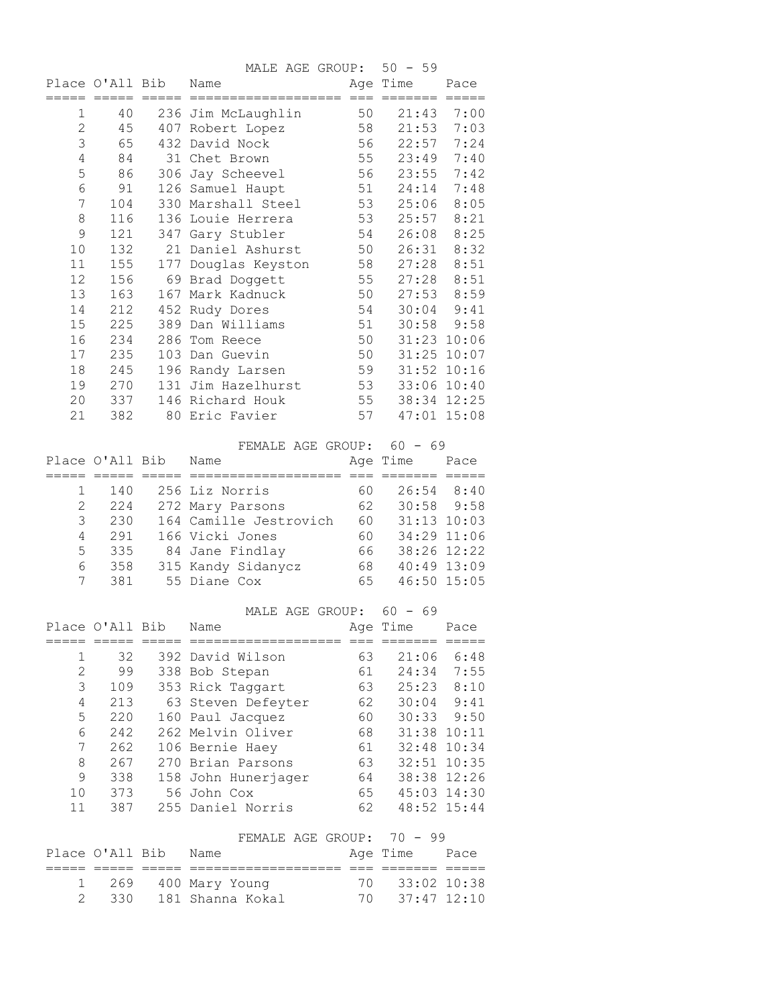|                  |                 |                     | MALE AGE GROUP: 50 - 59            |          |             |                            |
|------------------|-----------------|---------------------|------------------------------------|----------|-------------|----------------------------|
|                  | Place O'All Bib |                     | Name                               |          | Age Time    | Pace                       |
| =====            |                 |                     |                                    |          | =======     | $=====$                    |
| 1                | 40              |                     | 236 Jim McLaughlin                 | 50       | 21:43       | 7:00                       |
| $\mathbf{2}$     | 45              |                     | 407 Robert Lopez                   | 58       | 21:53       | 7:03                       |
| $\mathfrak{Z}$   | 65              |                     | 432 David Nock                     | 56       | 22:57       | 7:24                       |
| $\sqrt{4}$       | 84              |                     | 31 Chet Brown                      | 55       | 23:49       | 7:40                       |
| 5                | 86              |                     | 306 Jay Scheevel                   | 56       | 23:55       | 7:42                       |
| 6                | 91              |                     | 126 Samuel Haupt                   | 51       | 24:14       | 7:48                       |
| $\boldsymbol{7}$ | 104             |                     | 330 Marshall Steel                 | 53       | 25:06       | 8:05                       |
| 8                | 116             |                     | 136 Louie Herrera                  | 53       | 25:57       | 8:21                       |
| $\mathsf 9$      | 121             |                     | 347 Gary Stubler                   | 54       | 26:08       | 8:25                       |
| $10$             | 132             |                     | 21 Daniel Ashurst                  | 50       | 26:31       | 8:32                       |
| 11               | 155             |                     | 177 Douglas Keyston                | 58       | 27:28       | 8:51                       |
| 12               | 156             |                     | 69 Brad Doggett                    | 55       | 27:28       | 8:51                       |
| 13               | 163             |                     | 167 Mark Kadnuck                   | 50       | 27:53       | 8:59                       |
| 14               | 212             |                     | 452 Rudy Dores                     | 54       | 30:04       | 9:41                       |
| 15               | 225             |                     | 389 Dan Williams                   | 51       | 30:58       | 9:58                       |
| 16               | 234             |                     | 286 Tom Reece                      | 50       |             | 31:23 10:06                |
| 17               | 235             |                     | 103 Dan Guevin                     | 50       |             | 31:25 10:07                |
| 18               | 245             |                     | 196 Randy Larsen                   | 59       |             | 31:52 10:16                |
| 19               | 270             |                     | 131 Jim Hazelhurst                 | 53       |             | 33:06 10:40                |
| 20               | 337             |                     | 146 Richard Houk                   | 55       |             | 38:34 12:25                |
| 21               | 382             |                     | 80 Eric Favier                     | 57       |             | 47:01 15:08                |
|                  |                 |                     |                                    |          |             |                            |
|                  |                 |                     | FEMALE AGE GROUP: 60 - 69          |          |             |                            |
|                  | Place O'All Bib |                     | Name                               |          | Age Time    | Pace                       |
| 1                | 140             |                     | 256 Liz Norris                     | 60 —     |             | 26:54 8:40                 |
|                  |                 |                     |                                    |          |             |                            |
|                  |                 |                     |                                    |          |             |                            |
| $\mathbf{2}$     | 224             |                     | 272 Mary Parsons                   | 62       |             | $30:58$ $9:58$             |
| 3                | 230             |                     | 164 Camille Jestrovich             | 60       |             | 31:13 10:03                |
| $\overline{4}$   | 291             |                     | 166 Vicki Jones                    | 60       |             | 34:29 11:06                |
| 5                | 335             |                     | 84 Jane Findlay                    | 66       |             | 38:26 12:22                |
| 6                | 358             |                     | 315 Kandy Sidanycz                 | 68       |             | 40:49 13:09                |
| 7                | 381             |                     | 55 Diane Cox                       | 65       |             | 46:50 15:05                |
|                  |                 |                     |                                    |          |             |                            |
|                  |                 |                     | MALE AGE GROUP: 60 - 69<br>Name    | Aqe      |             | Pace                       |
|                  | Place O'All Bib |                     |                                    |          | Time        |                            |
| 1                | 32              |                     | 392 David Wilson                   | 63       | 21:06       | 6:48                       |
| $\overline{2}$   | 99              |                     | 338 Bob Stepan                     | 61       | 24:34       | 7:55                       |
| 3                | 109             |                     | 353 Rick Taggart                   | 63       | 25:23       | 8:10                       |
| $\sqrt{4}$       | 213             |                     | 63 Steven Defeyter                 | 62       | 30:04       | 9:41                       |
| 5                | 220             |                     | 160 Paul Jacquez                   | 60       | 30:33       | 9:50                       |
| 6                | 242             |                     | 262 Melvin Oliver                  | 68       | 31:38 10:11 |                            |
| 7                | 262             |                     | 106 Bernie Haey                    | 61       | 32:48 10:34 |                            |
| 8                | 267             |                     | 270 Brian Parsons                  | 63       | 32:51 10:35 |                            |
| 9                | 338             |                     | 158 John Hunerjager                | 64       |             | 38:38 12:26                |
| $10$             | 373             |                     | 56 John Cox                        | 65       |             | 45:03 14:30                |
| 11               | 387             |                     | 255 Daniel Norris                  | 62       |             | 48:52 15:44                |
|                  |                 |                     |                                    |          |             |                            |
|                  |                 |                     | FEMALE AGE GROUP: 70 - 99          |          |             |                            |
|                  | Place O'All Bib |                     | Name                               |          | Age Time    | Pace                       |
| ====             | $= = = = = =$   | $=$ $=$ $=$ $=$ $=$ | =============                      | $===$    |             | $=====$                    |
| 1<br>2           | 269<br>330      |                     | 400 Mary Young<br>181 Shanna Kokal | 70<br>70 |             | 33:02 10:38<br>37:47 12:10 |